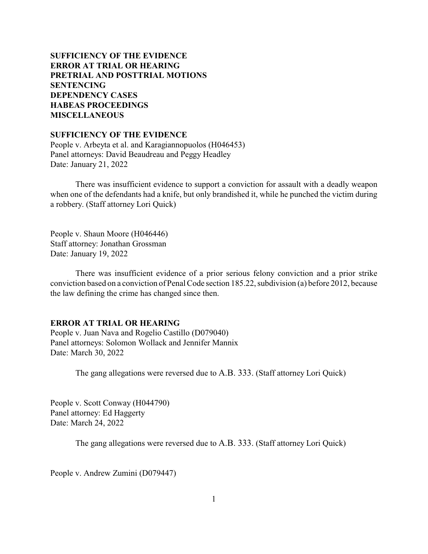# **SUFFICIENCY OF THE EVIDENCE ERROR AT TRIAL OR HEARING [PRETRIAL AND POSTTRIAL MOTIONS](#page-1-0) [SENTENCING](#page-4-0) [DEPENDENCY CASES](#page-7-0) [HABEAS PROCEEDINGS](#page-8-0)  MISCELLANEOUS**

### **SUFFICIENCY OF THE EVIDENCE**

People v. Arbeyta et al. and Karagiannopuolos (H046453) Panel attorneys: David Beaudreau and Peggy Headley Date: January 21, 2022

There was insufficient evidence to support a conviction for assault with a deadly weapon when one of the defendants had a knife, but only brandished it, while he punched the victim during a robbery. (Staff attorney Lori Quick)

People v. Shaun Moore (H046446) Staff attorney: Jonathan Grossman Date: January 19, 2022

There was insufficient evidence of a prior serious felony conviction and a prior strike conviction based on a conviction of Penal Code section 185.22, subdivision (a) before 2012, because the law defining the crime has changed since then.

## **ERROR AT TRIAL OR HEARING**

People v. Juan Nava and Rogelio Castillo (D079040) Panel attorneys: Solomon Wollack and Jennifer Mannix Date: March 30, 2022

The gang allegations were reversed due to A.B. 333. (Staff attorney Lori Quick)

People v. Scott Conway (H044790) Panel attorney: Ed Haggerty Date: March 24, 2022

The gang allegations were reversed due to A.B. 333. (Staff attorney Lori Quick)

People v. Andrew Zumini (D079447)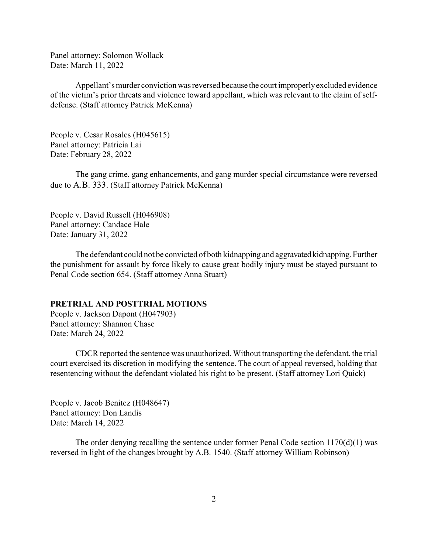<span id="page-1-0"></span>Panel attorney: Solomon Wollack Date: March 11, 2022

Appellant's murder conviction was reversed because the court improperlyexcluded evidence of the victim's prior threats and violence toward appellant, which was relevant to the claim of selfdefense. (Staff attorney Patrick McKenna)

People v. Cesar Rosales (H045615) Panel attorney: Patricia Lai Date: February 28, 2022

The gang crime, gang enhancements, and gang murder special circumstance were reversed due to A.B. 333. (Staff attorney Patrick McKenna)

People v. David Russell (H046908) Panel attorney: Candace Hale Date: January 31, 2022

The defendant could not be convicted of both kidnapping and aggravated kidnapping. Further the punishment for assault by force likely to cause great bodily injury must be stayed pursuant to Penal Code section 654. (Staff attorney Anna Stuart)

#### **PRETRIAL AND POSTTRIAL MOTIONS**

People v. Jackson Dapont (H047903) Panel attorney: Shannon Chase Date: March 24, 2022

CDCR reported the sentence was unauthorized. Without transporting the defendant. the trial court exercised its discretion in modifying the sentence. The court of appeal reversed, holding that resentencing without the defendant violated his right to be present. (Staff attorney Lori Quick)

People v. Jacob Benitez (H048647) Panel attorney: Don Landis Date: March 14, 2022

The order denying recalling the sentence under former Penal Code section  $1170(d)(1)$  was reversed in light of the changes brought by A.B. 1540. (Staff attorney William Robinson)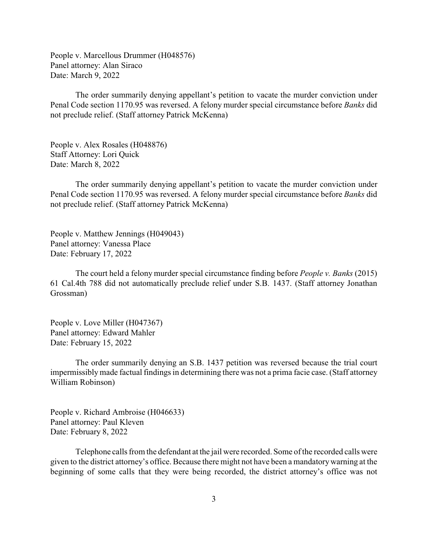People v. Marcellous Drummer (H048576) Panel attorney: Alan Siraco Date: March 9, 2022

The order summarily denying appellant's petition to vacate the murder conviction under Penal Code section 1170.95 was reversed. A felony murder special circumstance before *Banks* did not preclude relief. (Staff attorney Patrick McKenna)

People v. Alex Rosales (H048876) Staff Attorney: Lori Quick Date: March 8, 2022

The order summarily denying appellant's petition to vacate the murder conviction under Penal Code section 1170.95 was reversed. A felony murder special circumstance before *Banks* did not preclude relief. (Staff attorney Patrick McKenna)

People v. Matthew Jennings (H049043) Panel attorney: Vanessa Place Date: February 17, 2022

The court held a felony murder special circumstance finding before *People v. Banks* (2015) 61 Cal.4th 788 did not automatically preclude relief under S.B. 1437. (Staff attorney Jonathan Grossman)

People v. Love Miller (H047367) Panel attorney: Edward Mahler Date: February 15, 2022

The order summarily denying an S.B. 1437 petition was reversed because the trial court impermissibly made factual findings in determining there was not a prima facie case. (Staff attorney William Robinson)

People v. Richard Ambroise (H046633) Panel attorney: Paul Kleven Date: February 8, 2022

Telephone calls from the defendant at the jail were recorded. Some of the recorded calls were given to the district attorney's office. Because there might not have been a mandatorywarning at the beginning of some calls that they were being recorded, the district attorney's office was not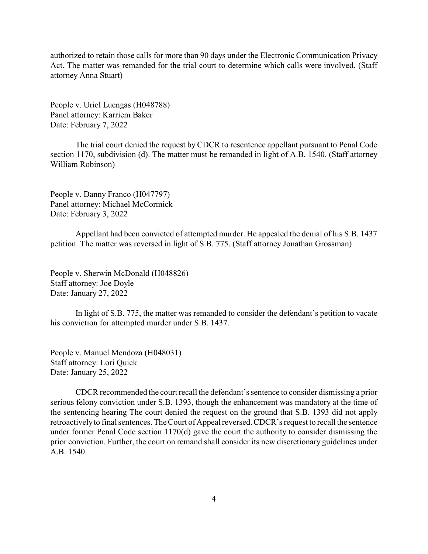authorized to retain those calls for more than 90 days under the Electronic Communication Privacy Act. The matter was remanded for the trial court to determine which calls were involved. (Staff attorney Anna Stuart)

People v. Uriel Luengas (H048788) Panel attorney: Karriem Baker Date: February 7, 2022

The trial court denied the request by CDCR to resentence appellant pursuant to Penal Code section 1170, subdivision (d). The matter must be remanded in light of A.B. 1540. (Staff attorney William Robinson)

People v. Danny Franco (H047797) Panel attorney: Michael McCormick Date: February 3, 2022

Appellant had been convicted of attempted murder. He appealed the denial of his S.B. 1437 petition. The matter was reversed in light of S.B. 775. (Staff attorney Jonathan Grossman)

People v. Sherwin McDonald (H048826) Staff attorney: Joe Doyle Date: January 27, 2022

In light of S.B. 775, the matter was remanded to consider the defendant's petition to vacate his conviction for attempted murder under S.B. 1437.

People v. Manuel Mendoza (H048031) Staff attorney: Lori Quick Date: January 25, 2022

CDCR recommended the court recall the defendant's sentence to consider dismissing a prior serious felony conviction under S.B. 1393, though the enhancement was mandatory at the time of the sentencing hearing The court denied the request on the ground that S.B. 1393 did not apply retroactivelyto final sentences. The Court of Appeal reversed. CDCR's request to recall the sentence under former Penal Code section 1170(d) gave the court the authority to consider dismissing the prior conviction. Further, the court on remand shall consider its new discretionary guidelines under A.B. 1540.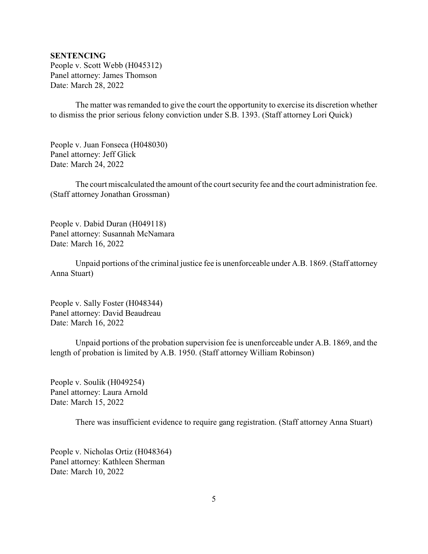### <span id="page-4-0"></span>**SENTENCING**

People v. Scott Webb (H045312) Panel attorney: James Thomson Date: March 28, 2022

The matter was remanded to give the court the opportunity to exercise its discretion whether to dismiss the prior serious felony conviction under S.B. 1393. (Staff attorney Lori Quick)

People v. Juan Fonseca (H048030) Panel attorney: Jeff Glick Date: March 24, 2022

The court miscalculated the amount of the court security fee and the court administration fee. (Staff attorney Jonathan Grossman)

People v. Dabid Duran (H049118) Panel attorney: Susannah McNamara Date: March 16, 2022

Unpaid portions of the criminal justice fee is unenforceable under A.B. 1869. (Staff attorney Anna Stuart)

People v. Sally Foster (H048344) Panel attorney: David Beaudreau Date: March 16, 2022

Unpaid portions of the probation supervision fee is unenforceable under A.B. 1869, and the length of probation is limited by A.B. 1950. (Staff attorney William Robinson)

People v. Soulik (H049254) Panel attorney: Laura Arnold Date: March 15, 2022

There was insufficient evidence to require gang registration. (Staff attorney Anna Stuart)

People v. Nicholas Ortiz (H048364) Panel attorney: Kathleen Sherman Date: March 10, 2022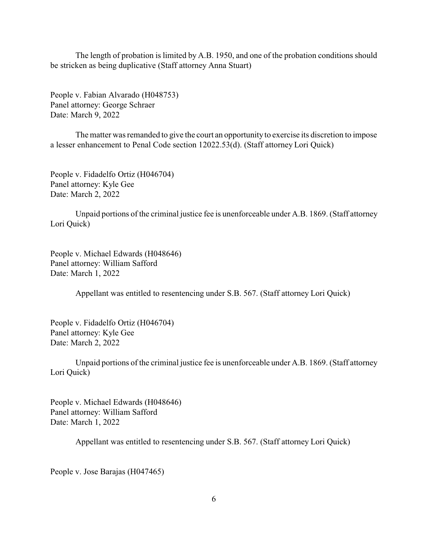The length of probation is limited by A.B. 1950, and one of the probation conditions should be stricken as being duplicative (Staff attorney Anna Stuart)

People v. Fabian Alvarado (H048753) Panel attorney: George Schraer Date: March 9, 2022

The matter was remanded to give the court an opportunity to exercise its discretion to impose a lesser enhancement to Penal Code section 12022.53(d). (Staff attorney Lori Quick)

People v. Fidadelfo Ortiz (H046704) Panel attorney: Kyle Gee Date: March 2, 2022

Unpaid portions of the criminal justice fee is unenforceable under A.B. 1869. (Staff attorney Lori Quick)

People v. Michael Edwards (H048646) Panel attorney: William Safford Date: March 1, 2022

Appellant was entitled to resentencing under S.B. 567. (Staff attorney Lori Quick)

People v. Fidadelfo Ortiz (H046704) Panel attorney: Kyle Gee Date: March 2, 2022

Unpaid portions of the criminal justice fee is unenforceable under A.B. 1869. (Staff attorney Lori Quick)

People v. Michael Edwards (H048646) Panel attorney: William Safford Date: March 1, 2022

Appellant was entitled to resentencing under S.B. 567. (Staff attorney Lori Quick)

People v. Jose Barajas (H047465)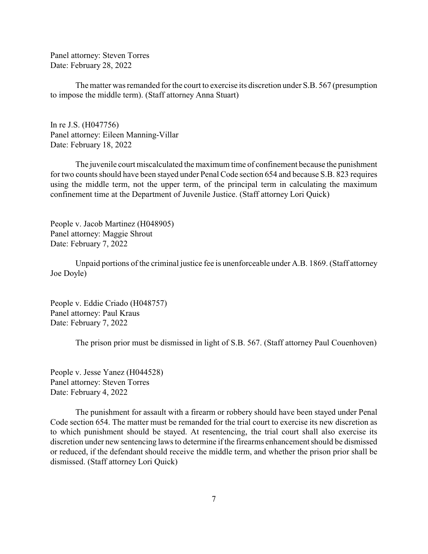Panel attorney: Steven Torres Date: February 28, 2022

The matter was remanded for the court to exercise its discretion under S.B. 567 (presumption to impose the middle term). (Staff attorney Anna Stuart)

In re J.S. (H047756) Panel attorney: Eileen Manning-Villar Date: February 18, 2022

The juvenile court miscalculated the maximum time of confinement because the punishment for two counts should have been stayed under Penal Code section 654 and because S.B. 823 requires using the middle term, not the upper term, of the principal term in calculating the maximum confinement time at the Department of Juvenile Justice. (Staff attorney Lori Quick)

People v. Jacob Martinez (H048905) Panel attorney: Maggie Shrout Date: February 7, 2022

Unpaid portions of the criminal justice fee is unenforceable under A.B. 1869. (Staff attorney Joe Doyle)

People v. Eddie Criado (H048757) Panel attorney: Paul Kraus Date: February 7, 2022

The prison prior must be dismissed in light of S.B. 567. (Staff attorney Paul Couenhoven)

People v. Jesse Yanez (H044528) Panel attorney: Steven Torres Date: February 4, 2022

The punishment for assault with a firearm or robbery should have been stayed under Penal Code section 654. The matter must be remanded for the trial court to exercise its new discretion as to which punishment should be stayed. At resentencing, the trial court shall also exercise its discretion under new sentencing laws to determine if the firearms enhancement should be dismissed or reduced, if the defendant should receive the middle term, and whether the prison prior shall be dismissed. (Staff attorney Lori Quick)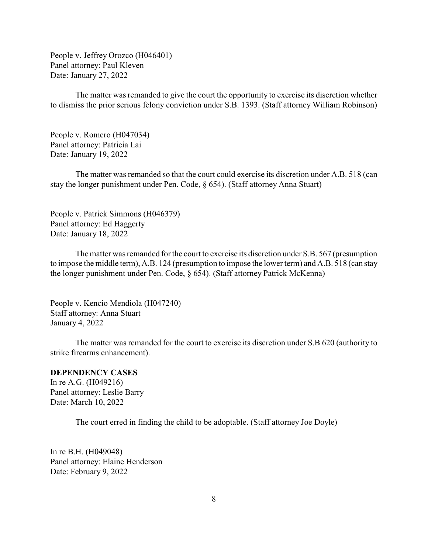<span id="page-7-0"></span>People v. Jeffrey Orozco (H046401) Panel attorney: Paul Kleven Date: January 27, 2022

The matter was remanded to give the court the opportunity to exercise its discretion whether to dismiss the prior serious felony conviction under S.B. 1393. (Staff attorney William Robinson)

People v. Romero (H047034) Panel attorney: Patricia Lai Date: January 19, 2022

The matter was remanded so that the court could exercise its discretion under A.B. 518 (can stay the longer punishment under Pen. Code, § 654). (Staff attorney Anna Stuart)

People v. Patrick Simmons (H046379) Panel attorney: Ed Haggerty Date: January 18, 2022

The matter was remanded for the court to exercise its discretion under S.B. 567 (presumption to impose the middle term), A.B. 124 (presumption to impose the lower term) and A.B. 518 (can stay the longer punishment under Pen. Code, § 654). (Staff attorney Patrick McKenna)

People v. Kencio Mendiola (H047240) Staff attorney: Anna Stuart January 4, 2022

The matter was remanded for the court to exercise its discretion under S.B 620 (authority to strike firearms enhancement).

#### **DEPENDENCY CASES**

In re A.G. (H049216) Panel attorney: Leslie Barry Date: March 10, 2022

The court erred in finding the child to be adoptable. (Staff attorney Joe Doyle)

In re B.H. (H049048) Panel attorney: Elaine Henderson Date: February 9, 2022